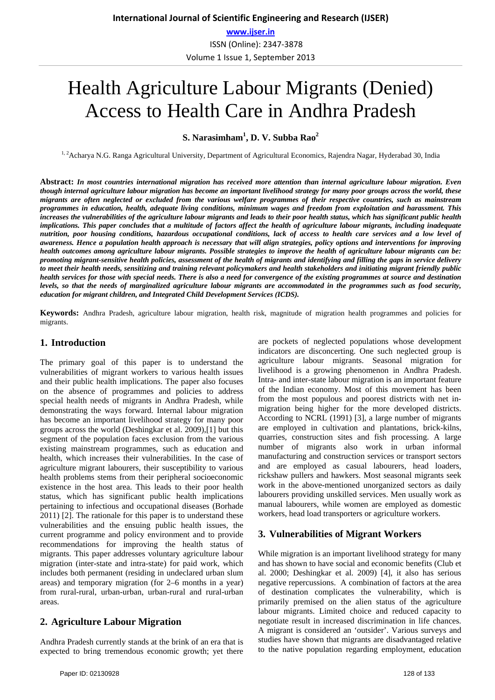# Health Agriculture Labour Migrants (Denied) Access to Health Care in Andhra Pradesh

**S. Narasimham1 , D. V. Subba Rao2**

<sup>1, 2</sup>Acharya N.G. Ranga Agricultural University, Department of Agricultural Economics, Rajendra Nagar, Hyderabad 30, India

**Abstract:** *In most countries international migration has received more attention than internal agriculture labour migration. Even though internal agriculture labour migration has become an important livelihood strategy for many poor groups across the world, these migrants are often neglected or excluded from the various welfare programmes of their respective countries, such as mainstream programmes in education, health, adequate living conditions, minimum wages and freedom from exploitation and harassment. This increases the vulnerabilities of the agriculture labour migrants and leads to their poor health status, which has significant public health implications. This paper concludes that a multitude of factors affect the health of agriculture labour migrants, including inadequate nutrition, poor housing conditions, hazardous occupational conditions, lack of access to health care services and a low level of awareness. Hence a population health approach is necessary that will align strategies, policy options and interventions for improving health outcomes among agriculture labour migrants. Possible strategies to improve the health of agriculture labour migrants can be: promoting migrant-sensitive health policies, assessment of the health of migrants and identifying and filling the gaps in service delivery to meet their health needs, sensitizing and training relevant policymakers and health stakeholders and initiating migrant friendly public health services for those with special needs. There is also a need for convergence of the existing programmes at source and destination levels, so that the needs of marginalized agriculture labour migrants are accommodated in the programmes such as food security, education for migrant children, and Integrated Child Development Services (ICDS).*

**Keywords:** Andhra Pradesh, agriculture labour migration, health risk, magnitude of migration health programmes and policies for migrants.

#### **1. Introduction**

The primary goal of this paper is to understand the vulnerabilities of migrant workers to various health issues and their public health implications. The paper also focuses on the absence of programmes and policies to address special health needs of migrants in Andhra Pradesh, while demonstrating the ways forward. Internal labour migration has become an important livelihood strategy for many poor groups across the world (Deshingkar et al. 2009),[1] but this segment of the population faces exclusion from the various existing mainstream programmes, such as education and health, which increases their vulnerabilities. In the case of agriculture migrant labourers, their susceptibility to various health problems stems from their peripheral socioeconomic existence in the host area. This leads to their poor health status, which has significant public health implications pertaining to infectious and occupational diseases (Borhade 2011) [2]. The rationale for this paper is to understand these vulnerabilities and the ensuing public health issues, the current programme and policy environment and to provide recommendations for improving the health status of migrants. This paper addresses voluntary agriculture labour migration (inter-state and intra-state) for paid work, which includes both permanent (residing in undeclared urban slum areas) and temporary migration (for 2–6 months in a year) from rural-rural, urban-urban, urban-rural and rural-urban areas.

#### **2. Agriculture Labour Migration**

Andhra Pradesh currently stands at the brink of an era that is expected to bring tremendous economic growth; yet there are pockets of neglected populations whose development indicators are disconcerting. One such neglected group is agriculture labour migrants. Seasonal migration for livelihood is a growing phenomenon in Andhra Pradesh. Intra- and inter-state labour migration is an important feature of the Indian economy. Most of this movement has been from the most populous and poorest districts with net inmigration being higher for the more developed districts. According to NCRL (1991) [3], a large number of migrants are employed in cultivation and plantations, brick-kilns, quarries, construction sites and fish processing. A large number of migrants also work in urban informal manufacturing and construction services or transport sectors and are employed as casual labourers, head loaders, rickshaw pullers and hawkers. Most seasonal migrants seek work in the above-mentioned unorganized sectors as daily labourers providing unskilled services. Men usually work as manual labourers, while women are employed as domestic workers, head load transporters or agriculture workers.

#### **3. Vulnerabilities of Migrant Workers**

While migration is an important livelihood strategy for many and has shown to have social and economic benefits (Club et al. 2000; Deshingkar et al. 2009) [4], it also has serious negative repercussions. A combination of factors at the area of destination complicates the vulnerability, which is primarily premised on the alien status of the agriculture labour migrants. Limited choice and reduced capacity to negotiate result in increased discrimination in life chances. A migrant is considered an 'outsider'. Various surveys and studies have shown that migrants are disadvantaged relative to the native population regarding employment, education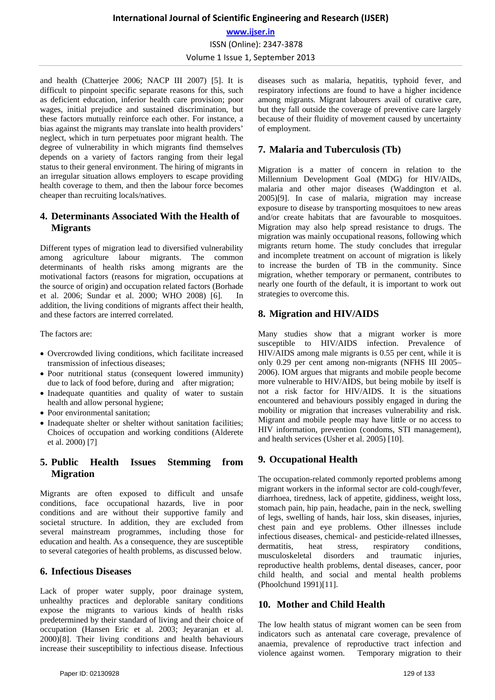# **International Journal of Scientific Engineering and Research (IJSER) www.ijser.in** ISSN (Online): 2347-3878 Volume 1 Issue 1, September 2013

and health (Chatterjee 2006; NACP III 2007) [5]. It is difficult to pinpoint specific separate reasons for this, such as deficient education, inferior health care provision; poor wages, initial prejudice and sustained discrimination, but these factors mutually reinforce each other. For instance, a bias against the migrants may translate into health providers' neglect, which in turn perpetuates poor migrant health. The degree of vulnerability in which migrants find themselves depends on a variety of factors ranging from their legal status to their general environment. The hiring of migrants in an irregular situation allows employers to escape providing health coverage to them, and then the labour force becomes cheaper than recruiting locals/natives.

## **4. Determinants Associated With the Health of Migrants**

Different types of migration lead to diversified vulnerability among agriculture labour migrants. The common determinants of health risks among migrants are the motivational factors (reasons for migration, occupations at the source of origin) and occupation related factors (Borhade et al. 2006; Sundar et al. 2000; WHO 2008) [6]. In addition, the living conditions of migrants affect their health, and these factors are interred correlated.

The factors are:

- Overcrowded living conditions, which facilitate increased transmission of infectious diseases;
- Poor nutritional status (consequent lowered immunity) due to lack of food before, during and after migration;
- Inadequate quantities and quality of water to sustain health and allow personal hygiene;
- Poor environmental sanitation;
- Inadequate shelter or shelter without sanitation facilities; Choices of occupation and working conditions (Alderete et al. 2000) [7]

# **5. Public Health Issues Stemming from Migration**

Migrants are often exposed to difficult and unsafe conditions, face occupational hazards, live in poor conditions and are without their supportive family and societal structure. In addition, they are excluded from several mainstream programmes, including those for education and health. As a consequence, they are susceptible to several categories of health problems, as discussed below.

## **6. Infectious Diseases**

Lack of proper water supply, poor drainage system, unhealthy practices and deplorable sanitary conditions expose the migrants to various kinds of health risks predetermined by their standard of living and their choice of occupation (Hansen Eric et al. 2003; Jeyaranjan et al. 2000)[8]. Their living conditions and health behaviours increase their susceptibility to infectious disease. Infectious diseases such as malaria, hepatitis, typhoid fever, and respiratory infections are found to have a higher incidence among migrants. Migrant labourers avail of curative care, but they fall outside the coverage of preventive care largely because of their fluidity of movement caused by uncertainty of employment.

# **7. Malaria and Tuberculosis (Tb)**

Migration is a matter of concern in relation to the Millennium Development Goal (MDG) for HIV/AIDs, malaria and other major diseases (Waddington et al. 2005)[9]. In case of malaria, migration may increase exposure to disease by transporting mosquitoes to new areas and/or create habitats that are favourable to mosquitoes. Migration may also help spread resistance to drugs. The migration was mainly occupational reasons, following which migrants return home. The study concludes that irregular and incomplete treatment on account of migration is likely to increase the burden of TB in the community. Since migration, whether temporary or permanent, contributes to nearly one fourth of the default, it is important to work out strategies to overcome this.

# **8. Migration and HIV/AIDS**

Many studies show that a migrant worker is more susceptible to HIV/AIDS infection. Prevalence of HIV/AIDS among male migrants is 0.55 per cent, while it is only 0.29 per cent among non-migrants (NFHS III 2005– 2006). IOM argues that migrants and mobile people become more vulnerable to HIV/AIDS, but being mobile by itself is not a risk factor for HIV/AIDS. It is the situations encountered and behaviours possibly engaged in during the mobility or migration that increases vulnerability and risk. Migrant and mobile people may have little or no access to HIV information, prevention (condoms, STI management), and health services (Usher et al. 2005) [10].

# **9. Occupational Health**

The occupation-related commonly reported problems among migrant workers in the informal sector are cold-cough/fever, diarrhoea, tiredness, lack of appetite, giddiness, weight loss, stomach pain, hip pain, headache, pain in the neck, swelling of legs, swelling of hands, hair loss, skin diseases, injuries, chest pain and eye problems. Other illnesses include infectious diseases, chemical- and pesticide-related illnesses, dermatitis, heat stress, respiratory conditions, musculoskeletal disorders and traumatic injuries, reproductive health problems, dental diseases, cancer, poor child health, and social and mental health problems (Phoolchund 1991)[11].

# **10. Mother and Child Health**

The low health status of migrant women can be seen from indicators such as antenatal care coverage, prevalence of anaemia, prevalence of reproductive tract infection and violence against women. Temporary migration to their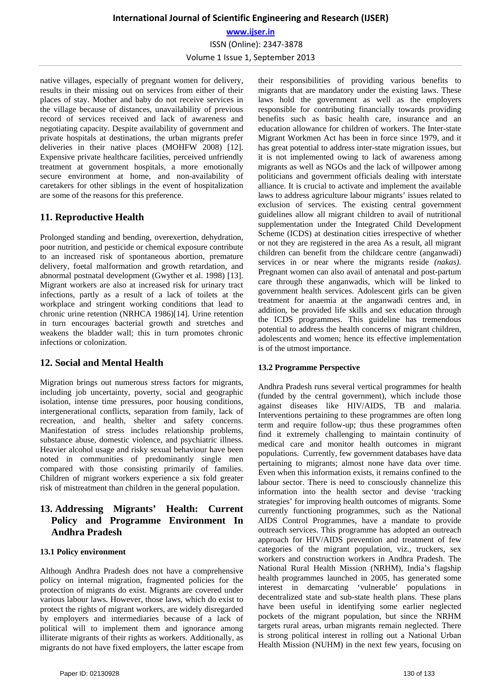native villages, especially of pregnant women for delivery, results in their missing out on services from either of their places of stay. Mother and baby do not receive services in the village because of distances, unavailability of previous record of services received and lack of awareness and negotiating capacity. Despite availability of government and private hospitals at destinations, the urban migrants prefer deliveries in their native places (MOHFW 2008) [12]. Expensive private healthcare facilities, perceived unfriendly treatment at government hospitals, a more emotionally secure environment at home, and non-availability of caretakers for other siblings in the event of hospitalization are some of the reasons for this preference.

## **11. Reproductive Health**

Prolonged standing and bending, overexertion, dehydration, poor nutrition, and pesticide or chemical exposure contribute to an increased risk of spontaneous abortion, premature delivery, foetal malformation and growth retardation, and abnormal postnatal development (Gwyther et al. 1998) [13]. Migrant workers are also at increased risk for urinary tract infections, partly as a result of a lack of toilets at the workplace and stringent working conditions that lead to chronic urine retention (NRHCA 1986)[14]. Urine retention in turn encourages bacterial growth and stretches and weakens the bladder wall; this in turn promotes chronic infections or colonization.

# **12. Social and Mental Health**

Migration brings out numerous stress factors for migrants, including job uncertainty, poverty, social and geographic isolation, intense time pressures, poor housing conditions, intergenerational conflicts, separation from family, lack of recreation, and health, shelter and safety concerns. Manifestation of stress includes relationship problems, substance abuse, domestic violence, and psychiatric illness. Heavier alcohol usage and risky sexual behaviour have been noted in communities of predominantly single men compared with those consisting primarily of families. Children of migrant workers experience a six fold greater risk of mistreatment than children in the general population.

## **13. Addressing Migrants' Health: Current Policy and Programme Environment In Andhra Pradesh**

#### **13.1 Policy environment**

Although Andhra Pradesh does not have a comprehensive policy on internal migration, fragmented policies for the protection of migrants do exist. Migrants are covered under various labour laws. However, those laws, which do exist to protect the rights of migrant workers, are widely disregarded by employers and intermediaries because of a lack of political will to implement them and ignorance among illiterate migrants of their rights as workers. Additionally, as migrants do not have fixed employers, the latter escape from their responsibilities of providing various benefits to migrants that are mandatory under the existing laws. These laws hold the government as well as the employers responsible for contributing financially towards providing benefits such as basic health care, insurance and an education allowance for children of workers. The Inter-state Migrant Workmen Act has been in force since 1979, and it has great potential to address inter-state migration issues, but it is not implemented owing to lack of awareness among migrants as well as NGOs and the lack of willpower among politicians and government officials dealing with interstate alliance. It is crucial to activate and implement the available laws to address agriculture labour migrants' issues related to exclusion of services. The existing central government guidelines allow all migrant children to avail of nutritional supplementation under the Integrated Child Development Scheme (ICDS) at destination cities irrespective of whether or not they are registered in the area As a result, all migrant children can benefit from the childcare centre (anganwadi) services in or near where the migrants reside *(nakas).*  Pregnant women can also avail of antenatal and post-partum care through these anganwadis, which will be linked to government health services. Adolescent girls can be given treatment for anaemia at the anganwadi centres and, in addition, be provided life skills and sex education through the ICDS programmes. This guideline has tremendous potential to address the health concerns of migrant children, adolescents and women; hence its effective implementation is of the utmost importance.

#### **13.2 Programme Perspective**

Andhra Pradesh runs several vertical programmes for health (funded by the central government), which include those against diseases like HIV/AIDS, TB and malaria. Interventions pertaining to these programmes are often long term and require follow-up; thus these programmes often find it extremely challenging to maintain continuity of medical care and monitor health outcomes in migrant populations. Currently, few government databases have data pertaining to migrants; almost none have data over time. Even when this information exists, it remains confined to the labour sector. There is need to consciously channelize this information into the health sector and devise 'tracking strategies' for improving health outcomes of migrants. Some currently functioning programmes, such as the National AIDS Control Programmes, have a mandate to provide outreach services. This programme has adopted an outreach approach for HIV/AIDS prevention and treatment of few categories of the migrant population, viz., truckers, sex workers and construction workers in Andhra Pradesh. The National Rural Health Mission (NRHM), India's flagship health programmes launched in 2005, has generated some interest in demarcating 'vulnerable' populations in decentralized state and sub-state health plans. These plans have been useful in identifying some earlier neglected pockets of the migrant population, but since the NRHM targets rural areas, urban migrants remain neglected. There is strong political interest in rolling out a National Urban Health Mission (NUHM) in the next few years, focusing on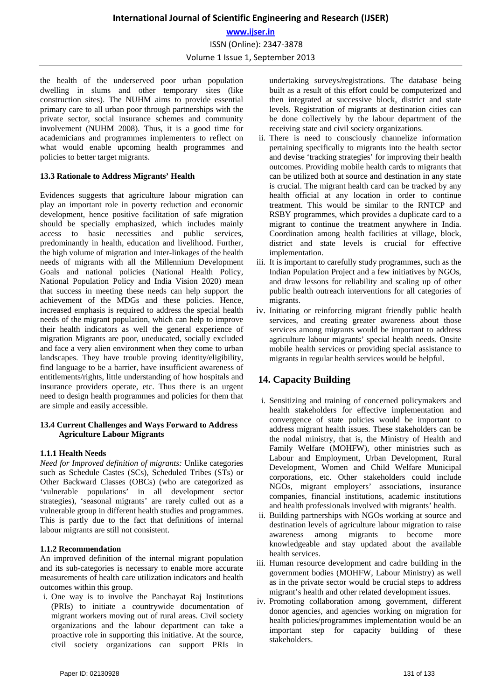the health of the underserved poor urban population dwelling in slums and other temporary sites (like construction sites). The NUHM aims to provide essential primary care to all urban poor through partnerships with the private sector, social insurance schemes and community involvement (NUHM 2008). Thus, it is a good time for academicians and programmes implementers to reflect on what would enable upcoming health programmes and policies to better target migrants.

#### **13.3 Rationale to Address Migrants' Health**

Evidences suggests that agriculture labour migration can play an important role in poverty reduction and economic development, hence positive facilitation of safe migration should be specially emphasized, which includes mainly access to basic necessities and public services, predominantly in health, education and livelihood. Further, the high volume of migration and inter-linkages of the health needs of migrants with all the Millennium Development Goals and national policies (National Health Policy, National Population Policy and India Vision 2020) mean that success in meeting these needs can help support the achievement of the MDGs and these policies. Hence, increased emphasis is required to address the special health needs of the migrant population, which can help to improve their health indicators as well the general experience of migration Migrants are poor, uneducated, socially excluded and face a very alien environment when they come to urban landscapes. They have trouble proving identity/eligibility, find language to be a barrier, have insufficient awareness of entitlements/rights, little understanding of how hospitals and insurance providers operate, etc. Thus there is an urgent need to design health programmes and policies for them that are simple and easily accessible.

#### **13.4 Current Challenges and Ways Forward to Address Agriculture Labour Migrants**

#### **1.1.1 Health Needs**

*Need for Improved definition of migrants:* Unlike categories such as Schedule Castes (SCs), Scheduled Tribes (STs) or Other Backward Classes (OBCs) (who are categorized as 'vulnerable populations' in all development sector strategies), 'seasonal migrants' are rarely culled out as a vulnerable group in different health studies and programmes. This is partly due to the fact that definitions of internal labour migrants are still not consistent.

#### **1.1.2 Recommendation**

An improved definition of the internal migrant population and its sub-categories is necessary to enable more accurate measurements of health care utilization indicators and health outcomes within this group.

i. One way is to involve the Panchayat Raj Institutions (PRIs) to initiate a countrywide documentation of migrant workers moving out of rural areas. Civil society organizations and the labour department can take a proactive role in supporting this initiative. At the source, civil society organizations can support PRIs in undertaking surveys/registrations. The database being built as a result of this effort could be computerized and then integrated at successive block, district and state levels. Registration of migrants at destination cities can be done collectively by the labour department of the receiving state and civil society organizations.

- ii. There is need to consciously channelize information pertaining specifically to migrants into the health sector and devise 'tracking strategies' for improving their health outcomes. Providing mobile health cards to migrants that can be utilized both at source and destination in any state is crucial. The migrant health card can be tracked by any health official at any location in order to continue treatment. This would be similar to the RNTCP and RSBY programmes, which provides a duplicate card to a migrant to continue the treatment anywhere in India. Coordination among health facilities at village, block, district and state levels is crucial for effective implementation.
- iii. It is important to carefully study programmes, such as the Indian Population Project and a few initiatives by NGOs, and draw lessons for reliability and scaling up of other public health outreach interventions for all categories of migrants.
- iv. Initiating or reinforcing migrant friendly public health services, and creating greater awareness about those services among migrants would be important to address agriculture labour migrants' special health needs. Onsite mobile health services or providing special assistance to migrants in regular health services would be helpful.

# **14. Capacity Building**

- i. Sensitizing and training of concerned policymakers and health stakeholders for effective implementation and convergence of state policies would be important to address migrant health issues. These stakeholders can be the nodal ministry, that is, the Ministry of Health and Family Welfare (MOHFW), other ministries such as Labour and Employment, Urban Development, Rural Development, Women and Child Welfare Municipal corporations, etc. Other stakeholders could include NGOs, migrant employers' associations, insurance companies, financial institutions, academic institutions and health professionals involved with migrants' health.
- ii. Building partnerships with NGOs working at source and destination levels of agriculture labour migration to raise awareness among migrants to become more knowledgeable and stay updated about the available health services.
- iii. Human resource development and cadre building in the government bodies (MOHFW, Labour Ministry) as well as in the private sector would be crucial steps to address migrant's health and other related development issues.
- iv. Promoting collaboration among government, different donor agencies, and agencies working on migration for health policies/programmes implementation would be an important step for capacity building of these stakeholders.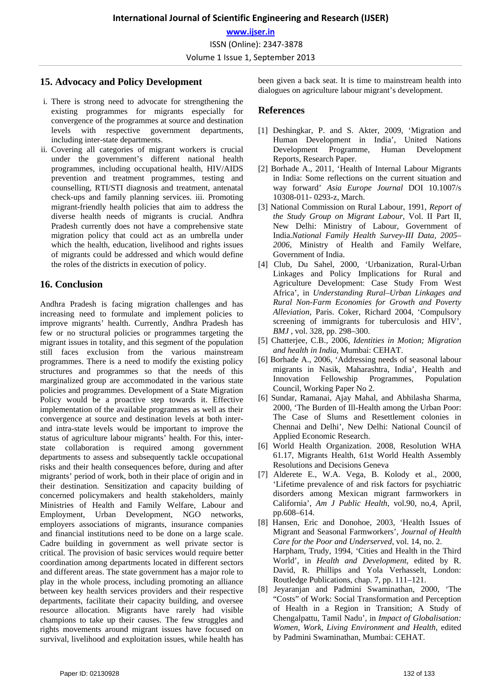## **15. Advocacy and Policy Development**

- i. There is strong need to advocate for strengthening the existing programmes for migrants especially for convergence of the programmes at source and destination levels with respective government departments, including inter-state departments.
- ii. Covering all categories of migrant workers is crucial under the government's different national health programmes, including occupational health, HIV/AIDS prevention and treatment programmes, testing and counselling, RTI/STI diagnosis and treatment, antenatal check-ups and family planning services. iii. Promoting migrant-friendly health policies that aim to address the diverse health needs of migrants is crucial. Andhra Pradesh currently does not have a comprehensive state migration policy that could act as an umbrella under which the health, education, livelihood and rights issues of migrants could be addressed and which would define the roles of the districts in execution of policy.

#### **16. Conclusion**

Andhra Pradesh is facing migration challenges and has increasing need to formulate and implement policies to improve migrants' health. Currently, Andhra Pradesh has few or no structural policies or programmes targeting the migrant issues in totality, and this segment of the population still faces exclusion from the various mainstream programmes. There is a need to modify the existing policy structures and programmes so that the needs of this marginalized group are accommodated in the various state policies and programmes. Development of a State Migration Policy would be a proactive step towards it. Effective implementation of the available programmes as well as their convergence at source and destination levels at both interand intra-state levels would be important to improve the status of agriculture labour migrants' health. For this, interstate collaboration is required among government departments to assess and subsequently tackle occupational risks and their health consequences before, during and after migrants' period of work, both in their place of origin and in their destination. Sensitization and capacity building of concerned policymakers and health stakeholders, mainly Ministries of Health and Family Welfare, Labour and Employment, Urban Development, NGO networks, employers associations of migrants, insurance companies and financial institutions need to be done on a large scale. Cadre building in government as well private sector is critical. The provision of basic services would require better coordination among departments located in different sectors and different areas. The state government has a major role to play in the whole process, including promoting an alliance between key health services providers and their respective departments, facilitate their capacity building, and oversee resource allocation. Migrants have rarely had visible champions to take up their causes. The few struggles and rights movements around migrant issues have focused on survival, livelihood and exploitation issues, while health has

#### **References**

- [1] Deshingkar, P. and S. Akter, 2009, 'Migration and Human Development in India', United Nations Development Programme, Human Development Reports, Research Paper.
- [2] Borhade A., 2011, 'Health of Internal Labour Migrants in India: Some reflections on the current situation and way forward' *Asia Europe Journal* DOI 10.1007/s 10308-011- 0293-z, March.
- [3] National Commission on Rural Labour, 1991, *Report of the Study Group on Migrant Labour,* Vol. II Part II, New Delhi: Ministry of Labour, Government of India.*National Family Health Survey-III Data, 2005– 2006*, Ministry of Health and Family Welfare, Government of India.
- [4] Club, Du Sahel, 2000, 'Urbanization, Rural-Urban Linkages and Policy Implications for Rural and Agriculture Development: Case Study From West Africa', in *Understanding Rural–Urban Linkages and Rural Non-Farm Economies for Growth and Poverty Alleviation*, Paris. Coker, Richard 2004, 'Compulsory screening of immigrants for tuberculosis and HIV', *BMJ* , vol. 328, pp. 298–300.
- [5] Chatterjee, C.B., 2006, *Identities in Motion; Migration and health in India,* Mumbai: CEHAT.
- [6] Borhade A., 2006, 'Addressing needs of seasonal labour migrants in Nasik, Maharashtra, India', Health and Innovation Fellowship Programmes, Population Council, Working Paper No 2.
- [6] Sundar, Ramanai, Ajay Mahal, and Abhilasha Sharma, 2000, 'The Burden of Ill-Health among the Urban Poor: The Case of Slums and Resettlement colonies in Chennai and Delhi', New Delhi: National Council of Applied Economic Research.
- [6] World Health Organization. 2008, Resolution WHA 61.17, Migrants Health, 61st World Health Assembly Resolutions and Decisions Geneva
- [7] Alderete E., W.A. Vega, B. Kolody et al., 2000, 'Lifetime prevalence of and risk factors for psychiatric disorders among Mexican migrant farmworkers in California', *Am J Public Health*, vol.90, no,4, April, pp.608–614.
- [8] Hansen, Eric and Donohoe, 2003, 'Health Issues of Migrant and Seasonal Farmworkers', *Journal of Health Care for the Poor and Underserved*, vol. 14, no. 2. Harpham, Trudy, 1994, 'Cities and Health in the Third World', in *Health and Development*, edited by R. David, R. Phillips and Yola Verhasselt, London: Routledge Publications, chap. 7, pp. 111–121.
- [8] Jeyaranjan and Padmini Swaminathan, 2000, 'The "Costs" of Work: Social Transformation and Perception of Health in a Region in Transition; A Study of Chengalpattu, Tamil Nadu', in *Impact of Globalisation: Women, Work, Living Environment and Health*, edited by Padmini Swaminathan, Mumbai: CEHAT.